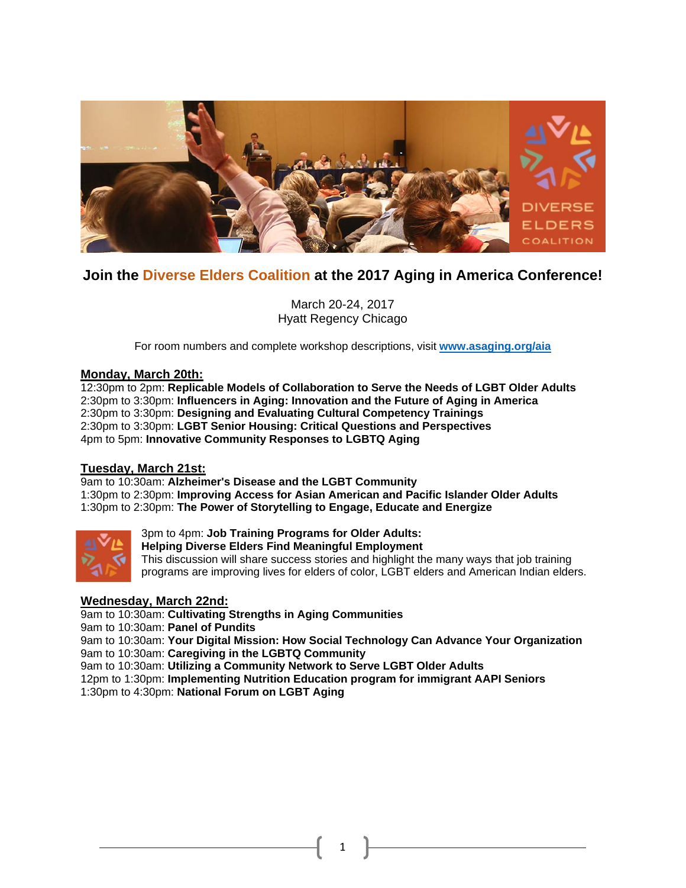

# **Join the Diverse Elders Coalition at the 2017 Aging in America Conference!**

March 20-24, 2017 Hyatt Regency Chicago

For room numbers and complete workshop descriptions, visit **[www.asaging.org/aia](http://www.asaging.org/aia)**

### **Monday, March 20th:**

12:30pm to 2pm: **Replicable Models of Collaboration to Serve the Needs of LGBT Older Adults** 2:30pm to 3:30pm: **Influencers in Aging: Innovation and the Future of Aging in America** 2:30pm to 3:30pm: **Designing and Evaluating Cultural Competency Trainings** 2:30pm to 3:30pm: **LGBT Senior Housing: Critical Questions and Perspectives** 4pm to 5pm: **Innovative Community Responses to LGBTQ Aging**

### **Tuesday, March 21st:**

9am to 10:30am: **Alzheimer's Disease and the LGBT Community** 1:30pm to 2:30pm: **Improving Access for Asian American and Pacific Islander Older Adults** 1:30pm to 2:30pm: **The Power of Storytelling to Engage, Educate and Energize**



3pm to 4pm: **Job Training Programs for Older Adults: Helping Diverse Elders Find Meaningful Employment** This discussion will share success stories and highlight the many ways that job training

### **Wednesday, March 22nd:**

9am to 10:30am: **Cultivating Strengths in Aging Communities** 9am to 10:30am: **Panel of Pundits**

9am to 10:30am: **Your Digital Mission: How Social Technology Can Advance Your Organization** 9am to 10:30am: **Caregiving in the LGBTQ Community**

programs are improving lives for elders of color, LGBT elders and American Indian elders.

1

9am to 10:30am: **Utilizing a Community Network to Serve LGBT Older Adults**

12pm to 1:30pm: **Implementing Nutrition Education program for immigrant AAPI Seniors**

1:30pm to 4:30pm: **National Forum on LGBT Aging**